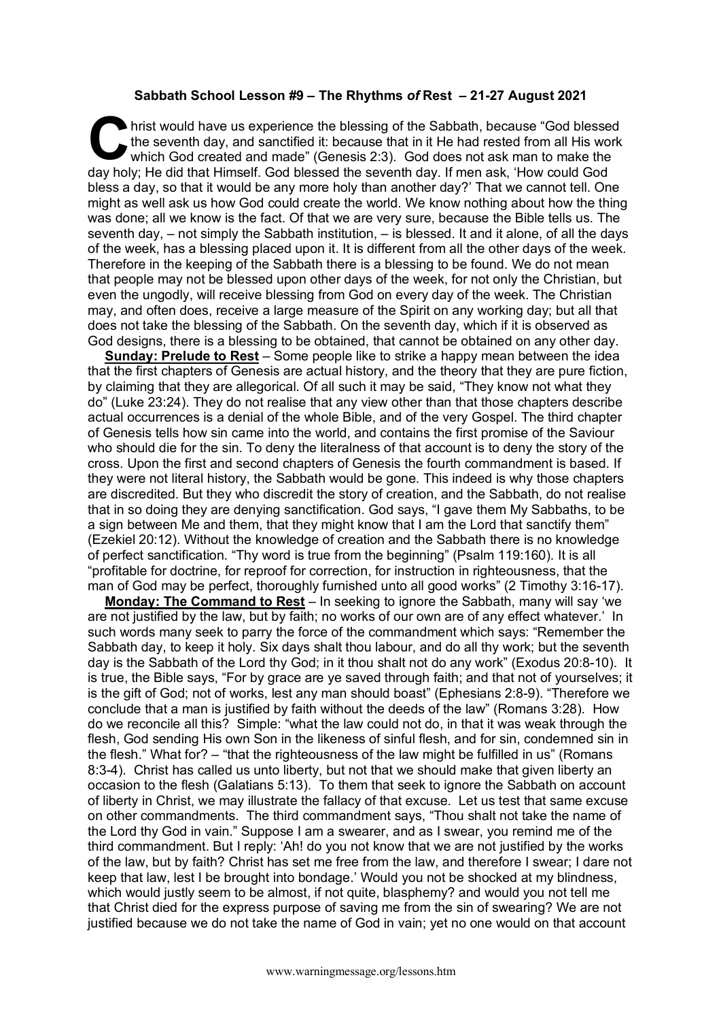## **Sabbath School Lesson #9 – The Rhythms** *of* **Rest – 21-27 August 2021**

hrist would have us experience the blessing of the Sabbath, because "God blessed the seventh day, and sanctified it: because that in it He had rested from all His work which God created and made" (Genesis 2:3). God does no the seventh day, and sanctified it: because that in it He had rested from all His work which God created and made" (Genesis 2:3). God does not ask man to make the day holy; He did that Himself. God blessed the seventh day. If men ask, 'How could God bless a day, so that it would be any more holy than another day?' That we cannot tell. One might as well ask us how God could create the world. We know nothing about how the thing was done; all we know is the fact. Of that we are very sure, because the Bible tells us. The seventh day, – not simply the Sabbath institution, – is blessed. It and it alone, of all the days of the week, has a blessing placed upon it. It is different from all the other days of the week. Therefore in the keeping of the Sabbath there is a blessing to be found. We do not mean that people may not be blessed upon other days of the week, for not only the Christian, but even the ungodly, will receive blessing from God on every day of the week. The Christian may, and often does, receive a large measure of the Spirit on any working day; but all that does not take the blessing of the Sabbath. On the seventh day, which if it is observed as God designs, there is a blessing to be obtained, that cannot be obtained on any other day.

**Sunday: Prelude to Rest** – Some people like to strike a happy mean between the idea that the first chapters of Genesis are actual history, and the theory that they are pure fiction, by claiming that they are allegorical. Of all such it may be said, "They know not what they do" (Luke 23:24). They do not realise that any view other than that those chapters describe actual occurrences is a denial of the whole Bible, and of the very Gospel. The third chapter of Genesis tells how sin came into the world, and contains the first promise of the Saviour who should die for the sin. To deny the literalness of that account is to deny the story of the cross. Upon the first and second chapters of Genesis the fourth commandment is based. If they were not literal history, the Sabbath would be gone. This indeed is why those chapters are discredited. But they who discredit the story of creation, and the Sabbath, do not realise that in so doing they are denying sanctification. God says, "I gave them My Sabbaths, to be a sign between Me and them, that they might know that I am the Lord that sanctify them" (Ezekiel 20:12). Without the knowledge of creation and the Sabbath there is no knowledge of perfect sanctification. "Thy word is true from the beginning" (Psalm 119:160). It is all "profitable for doctrine, for reproof for correction, for instruction in righteousness, that the man of God may be perfect, thoroughly furnished unto all good works" (2 Timothy 3:16-17).

**Monday: The Command to Rest** – In seeking to ignore the Sabbath, many will say 'we are not justified by the law, but by faith; no works of our own are of any effect whatever.' In such words many seek to parry the force of the commandment which says: "Remember the Sabbath day, to keep it holy. Six days shalt thou labour, and do all thy work; but the seventh day is the Sabbath of the Lord thy God; in it thou shalt not do any work" (Exodus 20:8-10). It is true, the Bible says, "For by grace are ye saved through faith; and that not of yourselves; it is the gift of God; not of works, lest any man should boast" (Ephesians 2:8-9). "Therefore we conclude that a man is justified by faith without the deeds of the law" (Romans 3:28). How do we reconcile all this? Simple: "what the law could not do, in that it was weak through the flesh, God sending His own Son in the likeness of sinful flesh, and for sin, condemned sin in the flesh." What for? – "that the righteousness of the law might be fulfilled in us" (Romans 8:3-4). Christ has called us unto liberty, but not that we should make that given liberty an occasion to the flesh (Galatians 5:13). To them that seek to ignore the Sabbath on account of liberty in Christ, we may illustrate the fallacy of that excuse. Let us test that same excuse on other commandments. The third commandment says, "Thou shalt not take the name of the Lord thy God in vain." Suppose I am a swearer, and as I swear, you remind me of the third commandment. But I reply: 'Ah! do you not know that we are not justified by the works of the law, but by faith? Christ has set me free from the law, and therefore I swear; I dare not keep that law, lest I be brought into bondage.' Would you not be shocked at my blindness, which would justly seem to be almost, if not quite, blasphemy? and would you not tell me that Christ died for the express purpose of saving me from the sin of swearing? We are not justified because we do not take the name of God in vain; yet no one would on that account